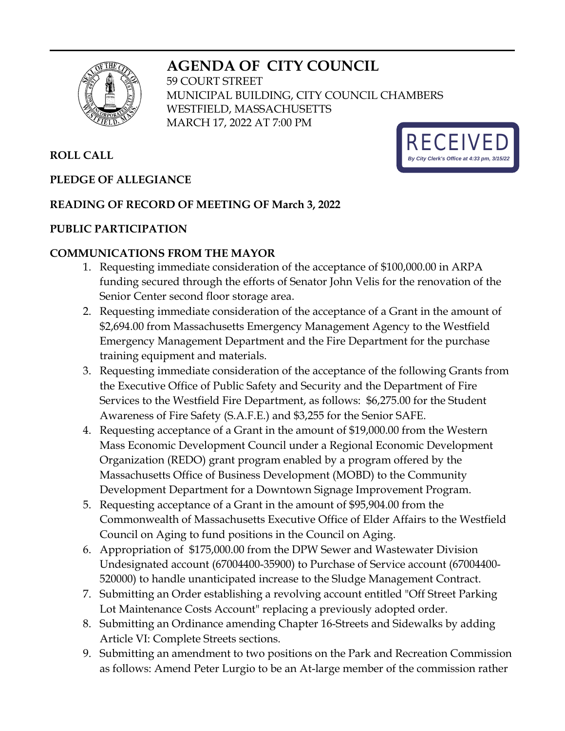# **AGENDA OF CITY COUNCIL**



59 COURT STREET MUNICIPAL BUILDING, CITY COUNCIL CHAMBERS WESTFIELD, MASSACHUSETTS MARCH 17, 2022 AT 7:00 PM

# **ROLL CALL**

## **PLEDGE OF ALLEGIANCE**

#### **READING OF RECORD OF MEETING OF March 3, 2022**

#### **PUBLIC PARTICIPATION**

#### **COMMUNICATIONS FROM THE MAYOR**

- 1. Requesting immediate consideration of the acceptance of \$100,000.00 in ARPA funding secured through the efforts of Senator John Velis for the renovation of the Senior Center second floor storage area.
- 2. Requesting immediate consideration of the acceptance of a Grant in the amount of \$2,694.00 from Massachusetts Emergency Management Agency to the Westfield Emergency Management Department and the Fire Department for the purchase training equipment and materials.
- 3. Requesting immediate consideration of the acceptance of the following Grants from the Executive Office of Public Safety and Security and the Department of Fire Services to the Westfield Fire Department, as follows: \$6,275.00 for the Student Awareness of Fire Safety (S.A.F.E.) and \$3,255 for the Senior SAFE.
- 4. Requesting acceptance of a Grant in the amount of \$19,000.00 from the Western Mass Economic Development Council under a Regional Economic Development Organization (REDO) grant program enabled by a program offered by the Massachusetts Office of Business Development (MOBD) to the Community Development Department for a Downtown Signage Improvement Program.
- 5. Requesting acceptance of a Grant in the amount of \$95,904.00 from the Commonwealth of Massachusetts Executive Office of Elder Affairs to the Westfield Council on Aging to fund positions in the Council on Aging.
- 6. Appropriation of \$175,000.00 from the DPW Sewer and Wastewater Division Undesignated account (67004400-35900) to Purchase of Service account (67004400- 520000) to handle unanticipated increase to the Sludge Management Contract.
- 7. Submitting an Order establishing a revolving account entitled "Off Street Parking Lot Maintenance Costs Account" replacing a previously adopted order.
- 8. Submitting an Ordinance amending Chapter 16-Streets and Sidewalks by adding Article VI: Complete Streets sections.
- 9. Submitting an amendment to two positions on the Park and Recreation Commission as follows: Amend Peter Lurgio to be an At-large member of the commission rather

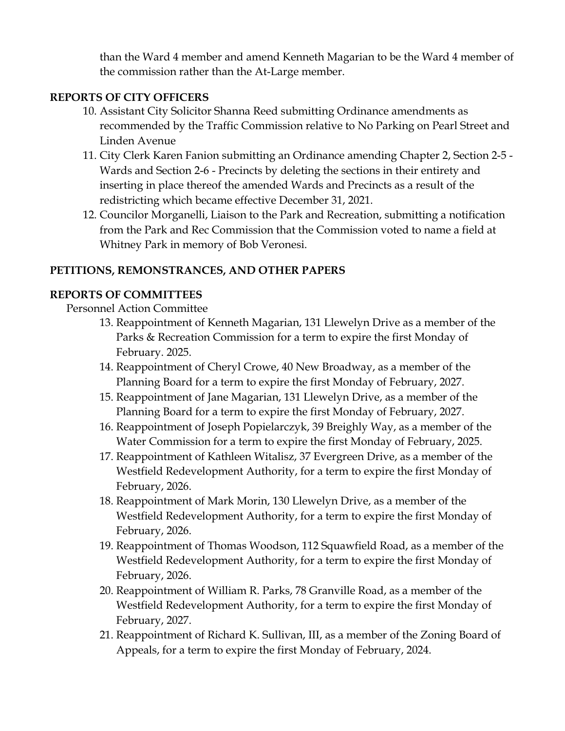than the Ward 4 member and amend Kenneth Magarian to be the Ward 4 member of the commission rather than the At-Large member.

## **REPORTS OF CITY OFFICERS**

- 10. Assistant City Solicitor Shanna Reed submitting Ordinance amendments as recommended by the Traffic Commission relative to No Parking on Pearl Street and Linden Avenue
- 11. City Clerk Karen Fanion submitting an Ordinance amending Chapter 2, Section 2-5 Wards and Section 2-6 - Precincts by deleting the sections in their entirety and inserting in place thereof the amended Wards and Precincts as a result of the redistricting which became effective December 31, 2021.
- 12. Councilor Morganelli, Liaison to the Park and Recreation, submitting a notification from the Park and Rec Commission that the Commission voted to name a field at Whitney Park in memory of Bob Veronesi.

#### **PETITIONS, REMONSTRANCES, AND OTHER PAPERS**

#### **REPORTS OF COMMITTEES**

Personnel Action Committee

- 13. Reappointment of Kenneth Magarian, 131 Llewelyn Drive as a member of the Parks & Recreation Commission for a term to expire the first Monday of February. 2025.
- 14. Reappointment of Cheryl Crowe, 40 New Broadway, as a member of the Planning Board for a term to expire the first Monday of February, 2027.
- 15. Reappointment of Jane Magarian, 131 Llewelyn Drive, as a member of the Planning Board for a term to expire the first Monday of February, 2027.
- 16. Reappointment of Joseph Popielarczyk, 39 Breighly Way, as a member of the Water Commission for a term to expire the first Monday of February, 2025.
- 17. Reappointment of Kathleen Witalisz, 37 Evergreen Drive, as a member of the Westfield Redevelopment Authority, for a term to expire the first Monday of February, 2026.
- 18. Reappointment of Mark Morin, 130 Llewelyn Drive, as a member of the Westfield Redevelopment Authority, for a term to expire the first Monday of February, 2026.
- 19. Reappointment of Thomas Woodson, 112 Squawfield Road, as a member of the Westfield Redevelopment Authority, for a term to expire the first Monday of February, 2026.
- 20. Reappointment of William R. Parks, 78 Granville Road, as a member of the Westfield Redevelopment Authority, for a term to expire the first Monday of February, 2027.
- 21. Reappointment of Richard K. Sullivan, III, as a member of the Zoning Board of Appeals, for a term to expire the first Monday of February, 2024.